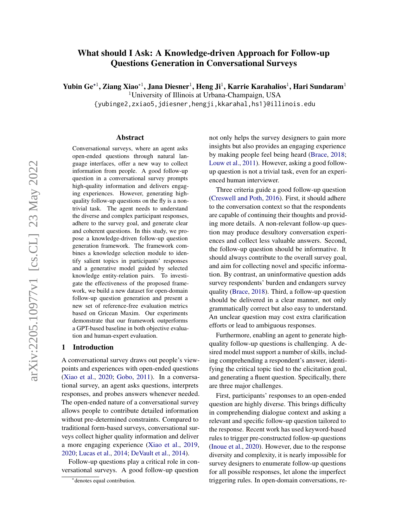# What should I Ask: A Knowledge-driven Approach for Follow-up Questions Generation in Conversational Surveys

Yubin Ge\*<sup>1</sup>, Ziang Xiao\*<sup>1</sup>, Jana Diesner<sup>1</sup>, Heng Ji<sup>1</sup>, Karrie Karahalios<sup>1</sup>, Hari Sundaram<sup>1</sup>

<sup>1</sup>University of Illinois at Urbana-Champaign, USA

{yubinge2,zxiao5,jdiesner,hengji,kkarahal,hs1}@illinois.edu

### Abstract

Conversational surveys, where an agent asks open-ended questions through natural language interfaces, offer a new way to collect information from people. A good follow-up question in a conversational survey prompts high-quality information and delivers engaging experiences. However, generating highquality follow-up questions on the fly is a nontrivial task. The agent needs to understand the diverse and complex participant responses, adhere to the survey goal, and generate clear and coherent questions. In this study, we propose a knowledge-driven follow-up question generation framework. The framework combines a knowledge selection module to identify salient topics in participants' responses and a generative model guided by selected knowledge entity-relation pairs. To investigate the effectiveness of the proposed framework, we build a new dataset for open-domain follow-up question generation and present a new set of reference-free evaluation metrics based on Gricean Maxim. Our experiments demonstrate that our framework outperforms a GPT-based baseline in both objective evaluation and human-expert evaluation.

### 1 Introduction

A conversational survey draws out people's viewpoints and experiences with open-ended questions (Xiao et al., 2020; Gobo, 2011). In a conversational survey, an agent asks questions, interprets responses, and probes answers whenever needed. The open-ended nature of a conversational survey allows people to contribute detailed information without pre-determined constraints. Compared to traditional form-based surveys, conversational surveys collect higher quality information and deliver a more engaging experience (Xiao et al., 2019, 2020; Lucas et al., 2014; DeVault et al., 2014).

Follow-up questions play a critical role in conversational surveys. A good follow-up question

not only helps the survey designers to gain more insights but also provides an engaging experience by making people feel being heard (Brace, 2018; Louw et al., 2011). However, asking a good followup question is not a trivial task, even for an experienced human interviewer.

Three criteria guide a good follow-up question (Creswell and Poth, 2016). First, it should adhere to the conversation context so that the respondents are capable of continuing their thoughts and providing more details. A non-relevant follow-up question may produce desultory conversation experiences and collect less valuable answers. Second, the follow-up question should be informative. It should always contribute to the overall survey goal, and aim for collecting novel and specific information. By contrast, an uninformative question adds survey respondents' burden and endangers survey quality (Brace, 2018). Third, a follow-up question should be delivered in a clear manner, not only grammatically correct but also easy to understand. An unclear question may cost extra clarification efforts or lead to ambiguous responses.

Furthermore, enabling an agent to generate highquality follow-up questions is challenging. A desired model must support a number of skills, including comprehending a respondent's answer, identifying the critical topic tied to the elicitation goal, and generating a fluent question. Specifically, there are three major challenges.

First, participants' responses to an open-ended question are highly diverse. This brings difficulty in comprehending dialogue context and asking a relevant and specific follow-up question tailored to the response. Recent work has used keyword-based rules to trigger pre-constructed follow-up questions (Inoue et al., 2020). However, due to the response diversity and complexity, it is nearly impossible for survey designers to enumerate follow-up questions for all possible responses, let alone the imperfect triggering rules. In open-domain conversations, re-

<sup>∗</sup> denotes equal contribution.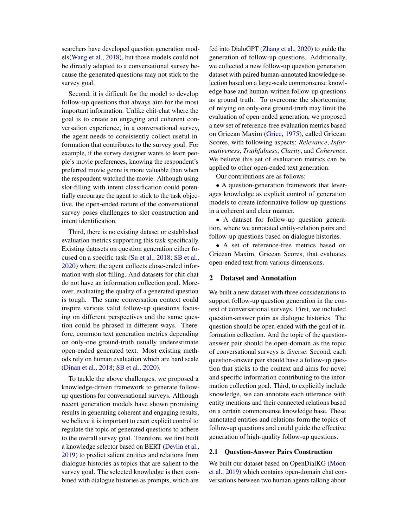searchers have developed question generation models(Wang et al., 2018), but those models could not be directly adapted to a conversational survey because the generated questions may not stick to the survey goal.

Second, it is difficult for the model to develop follow-up questions that always aim for the most important information. Unlike chit-chat where the goal is to create an engaging and coherent conversation experience, in a conversational survey, the agent needs to consistently collect useful information that contributes to the survey goal. For example, if the survey designer wants to learn people's movie preferences, knowing the respondent's preferred movie genre is more valuable than when the respondent watched the movie. Although using slot-filling with intent classification could potentially encourage the agent to stick to the task objective, the open-ended nature of the conversational survey poses challenges to slot construction and intent identification.

Third, there is no existing dataset or established evaluation metrics supporting this task specifically. Existing datasets on question generation either focused on a specific task (Su et al., 2018; SB et al., 2020) where the agent collects close-ended information with slot-filling. And datasets for chit-chat do not have an information collection goal. Moreover, evaluating the quality of a generated question is tough. The same conversation context could inspire various valid follow-up questions focusing on different perspectives and the same question could be phrased in different ways. Therefore, common text generation metrics depending on only-one ground-truth usually underestimate open-ended generated text. Most existing methods rely on human evaluation which are hard scale (Dinan et al., 2018; SB et al., 2020).

To tackle the above challenges, we proposed a knowledge-driven framework to generate followup questions for conversational surveys. Although recent generation models have shown promising results in generating coherent and engaging results, we believe it is important to exert explicit control to regulate the topic of generated questions to adhere to the overall survey goal. Therefore, we first built a knowledge selector based on BERT (Devlin et al., 2019) to predict salient entities and relations from dialogue histories as topics that are salient to the survey goal. The selected knowledge is then combined with dialogue histories as prompts, which are

fed into DialoGPT (Zhang et al., 2020) to guide the generation of follow-up questions. Additionally, we collected a new follow-up question generation dataset with paired human-annotated knowledge selection based on a large-scale commonsense knowledge base and human-written follow-up questions as ground truth. To overcome the shortcoming of relying on only-one ground-truth may limit the evaluation of open-ended generation, we proposed a new set of reference-free evaluation metrics based on Gricean Maxim (Grice, 1975), called Gricean Scores, with following aspects: *Relevance*, *Informativeness*, *Truthfulness*, *Clarity*, and *Coherence*. We believe this set of evaluation metrics can be applied to other open-ended text generation.

Our contributions are as follows:

• A question-generation framework that leverages knowledge as explicit control of generation models to create informative follow-up questions in a coherent and clear manner.

• A dataset for follow-up question generation, where we annotated entity-relation pairs and follow-up questions based on dialogue histories.

• A set of reference-free metrics based on Gricean Maxim, Gricean Scores, that evaluates open-ended text from various dimensions.

## 2 Dataset and Annotation

We built a new dataset with three considerations to support follow-up question generation in the context of conversational surveys. First, we included question-answer pairs as dialogue histories. The question should be open-ended with the goal of information collection. And the topic of the questionanswer pair should be open-domain as the topic of conversational surveys is diverse. Second, each question-answer pair should have a follow-up question that sticks to the context and aims for novel and specific information contributing to the information collection goal. Third, to explicitly include knowledge, we can annotate each utterance with entity mentions and their connected relations based on a certain commonsense knowledge base. These annotated entities and relations form the topics of follow-up questions and could guide the effective generation of high-quality follow-up questions.

### 2.1 Question-Answer Pairs Construction

We built our dataset based on OpenDialKG (Moon et al., 2019) which contains open-domain chat conversations between two human agents talking about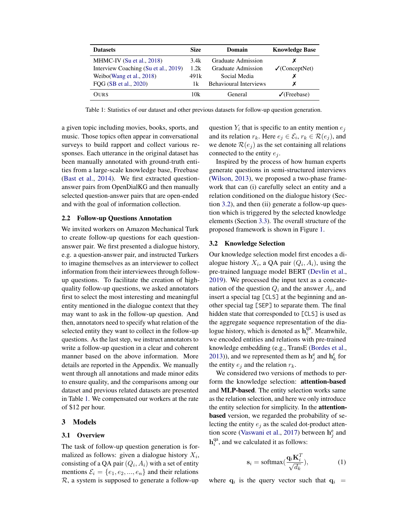| <b>Datasets</b>                      | <b>Size</b> | Domain                        | <b>Knowledge Base</b>     |
|--------------------------------------|-------------|-------------------------------|---------------------------|
| MHMC-IV (Su et al., $2018$ )         | 3.4k        | Graduate Admission            |                           |
| Interview Coaching (Su et al., 2019) | 1.2k        | Graduate Admission            | $\sqrt{C}$ (Concept Net)  |
| Weibo (Wang et al., 2018)            | 491k        | Social Media                  |                           |
| FQG (SB et al., 2020)                | 1k.         | <b>Behavioural Interviews</b> | х                         |
| OURS                                 | 10k         | General                       | $\sqrt{\text{(Frebase)}}$ |

Table 1: Statistics of our dataset and other previous datasets for follow-up question generation.

a given topic including movies, books, sports, and music. Those topics often appear in conversational surveys to build rapport and collect various responses. Each utterance in the original dataset has been manually annotated with ground-truth entities from a large-scale knowledge base, Freebase (Bast et al., 2014). We first extracted questionanswer pairs from OpenDialKG and then manually selected question-answer pairs that are open-ended and with the goal of information collection.

#### 2.2 Follow-up Questions Annotation

We invited workers on Amazon Mechanical Turk to create follow-up questions for each questionanswer pair. We first presented a dialogue history, e.g. a question-answer pair, and instructed Turkers to imagine themselves as an interviewer to collect information from their interviewees through followup questions. To facilitate the creation of highquality follow-up questions, we asked annotators first to select the most interesting and meaningful entity mentioned in the dialogue context that they may want to ask in the follow-up question. And then, annotators need to specify what relation of the selected entity they want to collect in the follow-up questions. As the last step, we instruct annotators to write a follow-up question in a clear and coherent manner based on the above information. More details are reported in the Appendix. We manually went through all annotations and made minor edits to ensure quality, and the comparisons among our dataset and previous related datasets are presented in Table 1. We compensated our workers at the rate of \$12 per hour.

### 3 Models

#### 3.1 Overview

The task of follow-up question generation is formalized as follows: given a dialogue history  $X_i$ , consisting of a QA pair  $(Q_i, A_i)$  with a set of entity mentions  $\mathcal{E}_i = \{e_1, e_2, ..., e_n\}$  and their relations  $R$ , a system is supposed to generate a follow-up

question  $Y_i$  that is specific to an entity mention  $e_j$ and its relation  $r_k$ . Here  $e_j \in \mathcal{E}_i$ ,  $r_k \in \mathcal{R}(e_j)$ , and we denote  $\mathcal{R}(e_i)$  as the set containing all relations connected to the entity  $e_i$ .

Inspired by the process of how human experts generate questions in semi-structured interviews (Wilson, 2013), we proposed a two-phase framework that can (i) carefully select an entity and a relation conditioned on the dialogue history (Section 3.2), and then (ii) generate a follow-up question which is triggered by the selected knowledge elements (Section 3.3). The overall structure of the proposed framework is shown in Figure 1.

#### 3.2 Knowledge Selection

Our knowledge selection model first encodes a dialogue history  $X_i$ , a QA pair  $(Q_i, A_i)$ , using the pre-trained language model BERT (Devlin et al., 2019). We processed the input text as a concatenation of the question  $Q_i$  and the answer  $A_i$ , and insert a special tag [CLS] at the beginning and another special tag [SEP] to separate them. The final hidden state that corresponded to [CLS] is used as the aggregate sequence representation of the dialogue history, which is denoted as  $h_i^{qa}$  $i<sup>a</sup>$ . Meanwhile, we encoded entities and relations with pre-trained knowledge embedding (e.g., TransE (Bordes et al., 2013)), and we represented them as  $\mathbf{h}_j^e$  and  $\mathbf{h}_k^r$  for the entity  $e_i$  and the relation  $r_k$ .

We considered two versions of methods to perform the knowledge selection: attention-based and MLP-based. The entity selection works same as the relation selection, and here we only introduce the entity selection for simplicity. In the attentionbased version, we regarded the probability of selecting the entity  $e_i$  as the scaled dot-product attention score (Vaswani et al., 2017) between  $h_j^e$  and  $\mathbf{h}^\text{qa}_i$  $i_i^{\text{qa}}$ , and we calculated it as follows:

$$
\mathbf{s}_{i} = \text{softmax}(\frac{\mathbf{q}_{i}\mathbf{K}_{i}^{T}}{\sqrt{d_{k}}}),
$$
 (1)

where  $\mathbf{q}_i$  is the query vector such that  $\mathbf{q}_i$  =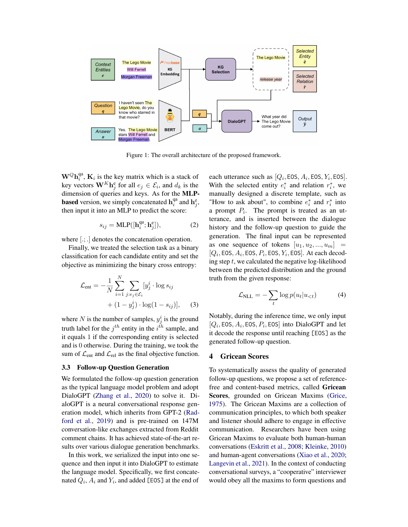

Figure 1: The overall architecture of the proposed framework.

 $\mathbf{W}^{Q}\mathbf{h}^{\text{qa}}_i$  $\mathbf{K}_i^{\text{qa}}$ ,  $\mathbf{K}_i$  is the key matrix which is a stack of key vectors  $\mathbf{W}^K \mathbf{h}^e_j$  for all  $e_j \in \mathcal{E}_i$ , and  $d_k$  is the dimension of queries and keys. As for the MLP**based** version, we simply concatenated  $h_i^{qa}$  $i^{\text{qa}}$  and  $\mathbf{h}_j^{\text{e}}$ , then input it into an MLP to predict the score:

$$
s_{ij} = \text{MLP}([\mathbf{h}_i^{\text{qa}}; \mathbf{h}_j^{\text{e}}]),\tag{2}
$$

where  $[$ .; .] denotes the concatenation operation.

Finally, we treated the selection task as a binary classification for each candidate entity and set the objective as minimizing the binary cross entropy:

$$
\mathcal{L}_{\text{ent}} = -\frac{1}{N} \sum_{i=1}^{N} \sum_{j:e_j \in \mathcal{E}_i} [y_j^i \cdot \log s_{ij} + (1 - y_j^i) \cdot \log(1 - s_{ij})], \quad (3)
$$

where N is the number of samples,  $y_j^i$  is the ground truth label for the  $j^{th}$  entity in the  $i^{th}$  sample, and it equals 1 if the corresponding entity is selected and is 0 otherwise. During the training, we took the sum of  $\mathcal{L}_{ent}$  and  $\mathcal{L}_{rel}$  as the final objective function.

### 3.3 Follow-up Question Generation

We formulated the follow-up question generation as the typical language model problem and adopt DialoGPT (Zhang et al., 2020) to solve it. DialoGPT is a neural conversational response generation model, which inherits from GPT-2 (Radford et al., 2019) and is pre-trained on 147M conversation-like exchanges extracted from Reddit comment chains. It has achieved state-of-the-art results over various dialogue generation benchmarks.

In this work, we serialized the input into one sequence and then input it into DialoGPT to estimate the language model. Specifically, we first concatenated  $Q_i$ ,  $A_i$  and  $Y_i$ , and added [EOS] at the end of

each utterance such as  $[Q_i, EOS, A_i, EOS, Y_i, EOS]$ . With the selected entity  $e_i^*$  and relation  $r_i^*$ , we manually designed a discrete template, such as "How to ask about", to combine  $e_i^*$  and  $r_i^*$  into a prompt  $P_i$ . The prompt is treated as an utterance, and is inserted between the dialogue history and the follow-up question to guide the generation. The final input can be represented as one sequence of tokens  $[u_1, u_2, ..., u_m] =$  $[Q_i, E$ OS,  $A_i$ , EOS,  $P_i$ , EOS,  $Y_i$ , EOS]. At each decoding step  $t$ , we calculated the negative log-likelihood between the predicted distribution and the ground truth from the given response:

$$
\mathcal{L}_{\text{NLL}} = -\sum_{t} \log p(u_t | u_{< t}) \tag{4}
$$

Notably, during the inference time, we only input  $[Q_i, EOS, A_i, EOS, P_i, EOS]$  into DialoGPT and let it decode the response until reaching [EOS] as the generated follow-up question.

### 4 Gricean Scores

To systematically assess the quality of generated follow-up questions, we propose a set of referencefree and content-based metrics, called Gricean Scores, grounded on Gricean Maxims (Grice, 1975). The Gricean Maxims are a collection of communication principles, to which both speaker and listener should adhere to engage in effective communication. Researchers have been using Gricean Maxims to evaluate both human-human conversations (Eskritt et al., 2008; Kleinke, 2010) and human-agent conversations (Xiao et al., 2020; Langevin et al., 2021). In the context of conducting conversational surveys, a "cooperative" interviewer would obey all the maxims to form questions and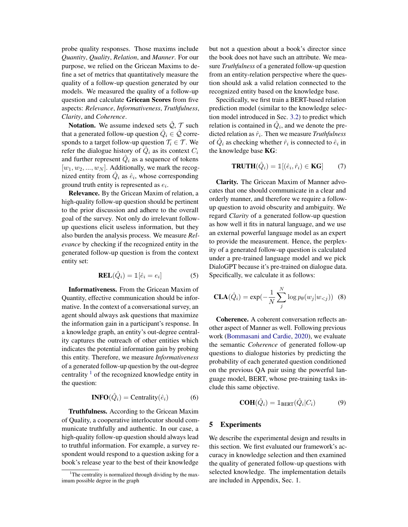probe quality responses. Those maxims include *Quantity*, *Quality*, *Relation*, and *Manner*. For our purpose, we relied on the Gricean Maxims to define a set of metrics that quantitatively measure the quality of a follow-up question generated by our models. We measured the quality of a follow-up question and calculate Gricean Scores from five aspects: *Relevance*, *Informativeness*, *Truthfulness*, *Clarity*, and *Coherence*.

Notation. We assume indexed sets  $\tilde{Q}$ ,  $\tilde{T}$  such that a generated follow-up question  $\hat{Q}_i \in \hat{\mathcal{Q}}$  corresponds to a target follow-up question  $\mathcal{T}_i \in \mathcal{T}$ . We refer the dialogue history of  $\hat{Q}_i$  as its context  $C_i$ and further represent  $\hat{Q}_i$  as a sequence of tokens  $[w_1, w_2, ..., w_N]$ . Additionally, we mark the recognized entity from  $\hat{Q}_i$  as  $\hat{e}_i$ , whose corresponding ground truth entity is represented as  $e_i$ .

Relevance. By the Gricean Maxim of relation, a high-quality follow-up question should be pertinent to the prior discussion and adhere to the overall goal of the survey. Not only do irrelevant followup questions elicit useless information, but they also burden the analysis process. We measure *Relevance* by checking if the recognized entity in the generated follow-up question is from the context entity set:

$$
REL(\hat{Q}_i) = \mathbb{1}[\hat{e}_i = e_i]
$$
 (5)

Informativeness. From the Gricean Maxim of Quantity, effective communication should be informative. In the context of a conversational survey, an agent should always ask questions that maximize the information gain in a participant's response. In a knowledge graph, an entity's out-degree centrality captures the outreach of other entities which indicates the potential information gain by probing this entity. Therefore, we measure *Informativeness* of a generated follow-up question by the out-degree centrality  $\frac{1}{1}$  of the recognized knowledge entity in the question:

$$
INFO(\hat{Q}_i) = Centrality(\hat{e}_i)
$$
 (6)

Truthfulness. According to the Gricean Maxim of Quality, a cooperative interlocutor should communicate truthfully and authentic. In our case, a high-quality follow-up question should always lead to truthful information. For example, a survey respondent would respond to a question asking for a book's release year to the best of their knowledge

but not a question about a book's director since the book does not have such an attribute. We measure *Truthfulness* of a generated follow-up question from an entity-relation perspective where the question should ask a valid relation connected to the recognized entity based on the knowledge base.

Specifically, we first train a BERT-based relation prediction model (similar to the knowledge selection model introduced in Sec. 3.2) to predict which relation is contained in  $\hat{Q}_i$ , and we denote the predicted relation as  $\hat{r}_i$ . Then we measure *Truthfulness* of  $\hat{Q}_i$  as checking whether  $\hat{r}_i$  is connected to  $\hat{e}_i$  in the knowledge base KG:

$$
TRUTH(\hat{Q}_i) = \mathbb{1}[(\hat{e}_i, \hat{r}_i) \in KG] \qquad (7)
$$

Clarity. The Gricean Maxim of Manner advocates that one should communicate in a clear and orderly manner, and therefore we require a followup question to avoid obscurity and ambiguity. We regard *Clarity* of a generated follow-up question as how well it fits in natural language, and we use an external powerful language model as an expert to provide the measurement. Hence, the perplexity of a generated follow-up question is calculated under a pre-trained language model and we pick DialoGPT because it's pre-trained on dialogue data. Specifically, we calculate it as follows:

$$
CLA(\hat{Q}_i) = \exp(-\frac{1}{N} \sum_{j}^{N} \log p_{\theta}(w_j | w_{< j})) \quad (8)
$$

Coherence. A coherent conversation reflects another aspect of Manner as well. Following previous work (Bommasani and Cardie, 2020), we evaluate the semantic *Coherence* of generated follow-up questions to dialogue histories by predicting the probability of each generated question conditioned on the previous QA pair using the powerful language model, BERT, whose pre-training tasks include this same objective.

$$
\mathbf{COH}(\hat{Q}_i) = \mathbb{1}_{\text{BERT}}(\hat{Q}_i|C_i)
$$
 (9)

### 5 Experiments

We describe the experimental design and results in this section. We first evaluated our framework's accuracy in knowledge selection and then examined the quality of generated follow-up questions with selected knowledge. The implementation details are included in Appendix, Sec. 1.

<sup>1</sup>The centrality is normalized through dividing by the maximum possible degree in the graph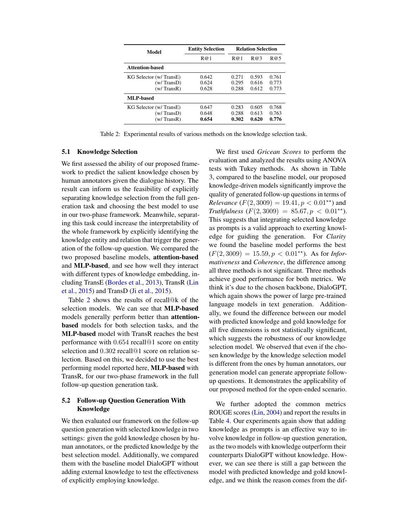| Model                   | <b>Entity Selection</b> | <b>Relation Selection</b> |       |       |
|-------------------------|-------------------------|---------------------------|-------|-------|
|                         | R@1                     | R@1                       | R@3   | R@5   |
| Attention-based         |                         |                           |       |       |
| KG Selector (w/ TransE) | 0.642                   | 0.271                     | 0.593 | 0.761 |
| (w/ TransD)             | 0.624                   | 0.295                     | 0.616 | 0.773 |
| (w/TransR)              | 0.628                   | 0.288                     | 0.612 | 0.773 |
| <b>MLP-based</b>        |                         |                           |       |       |
| KG Selector (w/ TransE) | 0.647                   | 0.283                     | 0.605 | 0.768 |
| (w/TransD)              | 0.648                   | 0.288                     | 0.613 | 0.763 |
| (w/TransR)              | 0.654                   | 0.302                     | 0.620 | 0.776 |

Table 2: Experimental results of various methods on the knowledge selection task.

### 5.1 Knowledge Selection

We first assessed the ability of our proposed framework to predict the salient knowledge chosen by human annotators given the dialogue history. The result can inform us the feasibility of explicitly separating knowledge selection from the full generation task and choosing the best model to use in our two-phase framework. Meanwhile, separating this task could increase the interpretability of the whole framework by explicitly identifying the knowledge entity and relation that trigger the generation of the follow-up question. We compared the two proposed baseline models, attention-based and MLP-based, and see how well they interact with different types of knowledge embedding, including TransE (Bordes et al., 2013), TransR (Lin et al., 2015) and TransD (Ji et al., 2015).

Table 2 shows the results of recall@k of the selection models. We can see that MLP-based models generally perform better than attentionbased models for both selection tasks, and the MLP-based model with TransR reaches the best performance with 0.654 recall@1 score on entity selection and 0.302 recall@1 score on relation selection. Based on this, we decided to use the best performing model reported here, MLP-based with TransR, for our two-phase framework in the full follow-up question generation task.

## 5.2 Follow-up Question Generation With Knowledge

We then evaluated our framework on the follow-up question generation with selected knowledge in two settings: given the gold knowledge chosen by human annotators, or the predicted knowledge by the best selection model. Additionally, we compared them with the baseline model DialoGPT without adding external knowledge to test the effectiveness of explicitly employing knowledge.

We first used *Gricean Scores* to perform the evaluation and analyzed the results using ANOVA tests with Tukey methods. As shown in Table 3, compared to the baseline model, our proposed knowledge-driven models significantly improve the quality of generated follow-up questions in terms of *Relevance* ( $F(2,3009) = 19.41, p < 0.01**$ ) and  $Truthfulness$  ( $F(2,3009) = 85.67, p < 0.01**$ ). This suggests that integrating selected knowledge as prompts is a valid approach to exerting knowledge for guiding the generation. For *Clarity* we found the baseline model performs the best  $(F(2,3009) = 15.59, p < 0.01^{**})$ . As for *Informativeness* and *Coherence*, the difference among all three methods is not significant. Three methods achieve good performance for both metrics. We think it's due to the chosen backbone, DialoGPT, which again shows the power of large pre-trained language models in text generation. Additionally, we found the difference between our model with predicted knowledge and gold knowledge for all five dimensions is not statistically significant, which suggests the robustness of our knowledge selection model. We observed that even if the chosen knowledge by the knowledge selection model is different from the ones by human annotators, our generation model can generate appropriate followup questions. It demonstrates the applicability of our proposed method for the open-ended scenario.

We further adopted the common metrics ROUGE scores (Lin, 2004) and report the results in Table 4. Our experiments again show that adding knowledge as prompts is an effective way to involve knowledge in follow-up question generation, as the two models with knowledge outperform their counterparts DialoGPT without knowledge. However, we can see there is still a gap between the model with predicted knowledge and gold knowledge, and we think the reason comes from the dif-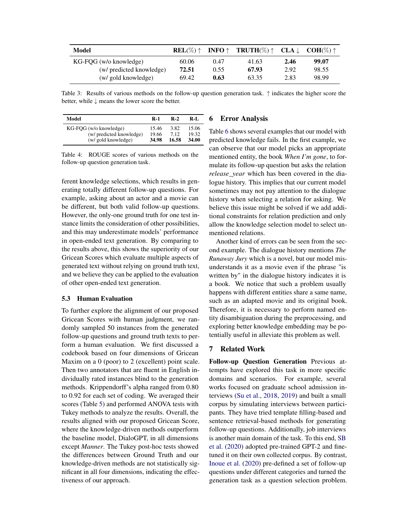| Model                    | $REL(\%)$ $\uparrow$ |      | <b>INFO</b> $\uparrow$ <b>TRUTH</b> $(\%) \uparrow$ <b>CLA</b> $\downarrow$ <b>COH</b> $(\%) \uparrow$ |      |       |
|--------------------------|----------------------|------|--------------------------------------------------------------------------------------------------------|------|-------|
| KG-FQG (w/o knowledge)   | 60.06                | 0.47 | 41.63                                                                                                  | 2.46 | 99.07 |
| (w/ predicted knowledge) | 72.51                | 0.55 | 67.93                                                                                                  | 2.92 | 98.55 |
| (w/ gold knowledge)      | 69.42                | 0.63 | 63.35                                                                                                  | 2.83 | 98.99 |

Table 3: Results of various methods on the follow-up question generation task. ↑ indicates the higher score the better, while ↓ means the lower score the better.

| Model                    | R-1   | $R-2$ | R-L   |
|--------------------------|-------|-------|-------|
| KG-FOG (w/o knowledge)   | 15.46 | 3.82  | 15.06 |
| (w/ predicted knowledge) | 19.66 | 7.12  | 19.32 |
| (w/ gold knowledge)      | 34.98 | 16.58 | 34.00 |

Table 4: ROUGE scores of various methods on the follow-up question generation task.

ferent knowledge selections, which results in generating totally different follow-up questions. For example, asking about an actor and a movie can be different, but both valid follow-up questions. However, the only-one ground truth for one test instance limits the consideration of other possibilities, and this may underestimate models' performance in open-ended text generation. By comparing to the results above, this shows the superiority of our Gricean Scores which evaluate multiple aspects of generated text without relying on ground truth text, and we believe they can be applied to the evaluation of other open-ended text generation.

### 5.3 Human Evaluation

To further explore the alignment of our proposed Gricean Scores with human judgment, we randomly sampled 50 instances from the generated follow-up questions and ground truth texts to perform a human evaluation. We first discussed a codebook based on four dimensions of Gricean Maxim on a 0 (poor) to 2 (excellent) point scale. Then two annotators that are fluent in English individually rated instances blind to the generation methods. Krippendorff's alpha ranged from 0.80 to 0.92 for each set of coding. We averaged their scores (Table 5) and performed ANOVA tests with Tukey methods to analyze the results. Overall, the results aligned with our proposed Gricean Score, where the knowledge-driven methods outperform the baseline model, DialoGPT, in all dimensions except *Manner*. The Tukey post-hoc tests showed the differences between Ground Truth and our knowledge-driven methods are not statistically significant in all four dimensions, indicating the effectiveness of our approach.

### 6 Error Analysis

Table 6 shows several examples that our model with predicted knowledge fails. In the first example, we can observe that our model picks an appropriate mentioned entity, the book *When I'm gone*, to formulate its follow-up question but asks the relation *release\_year* which has been covered in the dialogue history. This implies that our current model sometimes may not pay attention to the dialogue history when selecting a relation for asking. We believe this issue might be solved if we add additional constraints for relation prediction and only allow the knowledge selection model to select unmentioned relations.

Another kind of errors can be seen from the second example. The dialogue history mentions *The Runaway Jury* which is a novel, but our model misunderstands it as a movie even if the phrase "is written by" in the dialogue history indicates it is a book. We notice that such a problem usually happens with different entities share a same name, such as an adapted movie and its original book. Therefore, it is necessary to perform named entity disambiguation during the preprocessing, and exploring better knowledge embedding may be potentially useful in alleviate this problem as well.

### 7 Related Work

Follow-up Question Generation Previous attempts have explored this task in more specific domains and scenarios. For example, several works focused on graduate school admission interviews (Su et al., 2018, 2019) and built a small corpus by simulating interviews between participants. They have tried template filling-based and sentence retrieval-based methods for generating follow-up questions. Additionally, job interviews is another main domain of the task. To this end, SB et al. (2020) adopted pre-trained GPT-2 and finetuned it on their own collected corpus. By contrast, Inoue et al. (2020) pre-defined a set of follow-up questions under different categories and turned the generation task as a question selection problem.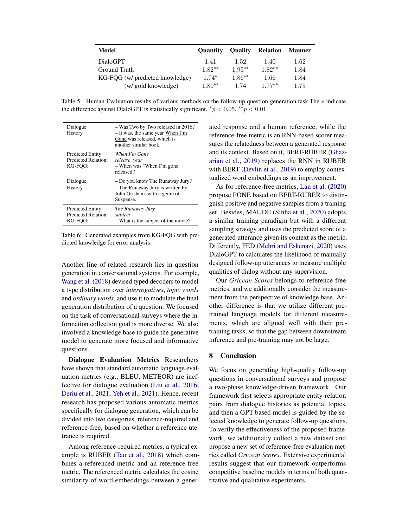| Model                           | <b>Ouantity</b> | <b>Ouality</b> | <b>Relation</b> | <b>Manner</b> |
|---------------------------------|-----------------|----------------|-----------------|---------------|
| <b>DialoGPT</b>                 | 1.41            | 1.52           | 1.40            | 1.62          |
| Ground Truth                    | $1.82**$        | $1.95**$       | $1.82**$        | 1.84          |
| KG-FQG (w/ predicted knowledge) | $1.74*$         | $1.86**$       | 1.66            | 1.84          |
| (w/ gold knowledge)             | $1.80**$        | 1.74           | $177***$        | 1.75          |

Table 5: Human Evaluation results of various methods on the follow-up question generation task.The ∗ indicate the difference against DialoGPT is statistically significant.  ${}^*p$  < 0.05.  ${}^{**}p$  < 0.01

| Dialogue<br>History                                        | - Was Two by Two released in 2016?<br>- It was, the same year When I'm<br>Gone was released, which is<br>another similar book. |
|------------------------------------------------------------|--------------------------------------------------------------------------------------------------------------------------------|
| <b>Predicted Entity:</b><br>Predicted Relation:<br>KG-FOG: | When I'm Gone<br>release_year<br>- When was "When I'm gone"<br>released?                                                       |
| Dialogue<br>History                                        | - Do you know The Runaway Jury?<br>- The Runaway Jury is written by<br>John Grisham, with a genre of<br>Suspense.              |
| Predicted Entity:<br>Predicted Relation:<br>KG-FOG:        | The Runaway Jury<br>subject<br>- What is the subject of the movie?                                                             |

Table 6: Generated examples from KG-FQG with predicted knowledge for error analysis.

Another line of related research lies in question generation in conversational systems. For example, Wang et al. (2018) devised typed decoders to model a type distribution over *interrogatives*, *topic words* and *ordinary words*, and use it to modulate the final generation distribution of a question. We focused on the task of conversational surveys where the information collection goal is more diverse. We also involved a knowledge base to guide the generative model to generate more focused and informative questions.

Dialogue Evaluation Metrics Researchers have shown that standard automatic language evaluation metrics (e.g., BLEU, METEOR) are ineffective for dialogue evaluation (Liu et al., 2016; Deriu et al., 2021; Yeh et al., 2021). Hence, recent research has proposed various automatic metrics specifically for dialogue generation, which can be divided into two categories, reference-required and reference-free, based on whether a reference utetrance is required.

Among reference-required metrics, a typical example is RUBER (Tao et al., 2018) which combines a referenced metric and an reference-free metric. The referenced metric calculates the cosine similarity of word embeddings between a generated response and a human reference, while the reference-free metric is an RNN-based scorer measures the relatedness between a generated response and its context. Based on it, BERT-RUBER (Ghazarian et al., 2019) replaces the RNN in RUBER with BERT (Devlin et al., 2019) to employ contextualized word embeddings as an improvement.

As for reference-free metrics, Lan et al. (2020) propose PONE based on BERT-RUBER to distinguish positive and negative samples from a training set. Besides, MAUDE (Sinha et al., 2020) adopts a similar training paradigm but with a different sampling strategy and uses the predicted score of a generated utterance given its context as the metric. Differently, FED (Mehri and Eskenazi, 2020) uses DialoGPT to calculates the likelihood of manually designed follow-up utterances to measure multiple qualities of dialog without any supervision.

Our *Gricean Scores* belongs to reference-free metrics, and we additionally consider the measurement from the perspective of knowledge base. Another difference is that we utilize different pretrained language models for different measurements, which are aligned well with their pretraining tasks, so that the gap between downstream inference and pre-training may not be large.

### 8 Conclusion

We focus on generating high-quality follow-up questions in conversational surveys and propose a two-phase knowledge-driven framework. Our framework first selects appropriate entity-relation pairs from dialogue histories as potential topics, and then a GPT-based model is guided by the selected knowledge to generate follow-up questions. To verify the effectiveness of the proposed framework, we additionally collect a new dataset and propose a new set of reference-free evaluation metrics called *Gricean Scores*. Extensive experimental results suggest that our framework outperforms competitive baseline models in terms of both quantitative and qualitative experiments.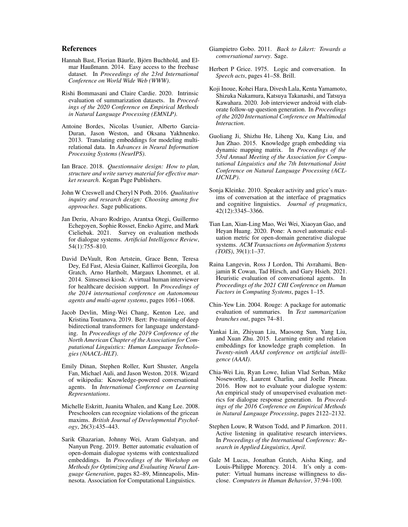### References

- Hannah Bast, Florian Bäurle, Björn Buchhold, and Elmar Haußmann. 2014. Easy access to the freebase dataset. In *Proceedings of the 23rd International Conference on World Wide Web (WWW)*.
- Rishi Bommasani and Claire Cardie. 2020. Intrinsic evaluation of summarization datasets. In *Proceedings of the 2020 Conference on Empirical Methods in Natural Language Processing (EMNLP)*.
- Antoine Bordes, Nicolas Usunier, Alberto Garcia-Duran, Jason Weston, and Oksana Yakhnenko. 2013. Translating embeddings for modeling multirelational data. In *Advances in Neural Information Processing Systems (NeurIPS)*.
- Ian Brace. 2018. *Questionnaire design: How to plan, structure and write survey material for effective market research*. Kogan Page Publishers.
- John W Creswell and Cheryl N Poth. 2016. *Qualitative inquiry and research design: Choosing among five approaches*. Sage publications.
- Jan Deriu, Alvaro Rodrigo, Arantxa Otegi, Guillermo Echegoyen, Sophie Rosset, Eneko Agirre, and Mark Cieliebak. 2021. Survey on evaluation methods for dialogue systems. *Artificial Intelligence Review*, 54(1):755–810.
- David DeVault, Ron Artstein, Grace Benn, Teresa Dey, Ed Fast, Alesia Gainer, Kallirroi Georgila, Jon Gratch, Arno Hartholt, Margaux Lhommet, et al. 2014. Simsensei kiosk: A virtual human interviewer for healthcare decision support. In *Proceedings of the 2014 international conference on Autonomous agents and multi-agent systems*, pages 1061–1068.
- Jacob Devlin, Ming-Wei Chang, Kenton Lee, and Kristina Toutanova. 2019. Bert: Pre-training of deep bidirectional transformers for language understanding. In *Proceedings of the 2019 Conference of the North American Chapter of the Association for Computational Linguistics: Human Language Technologies (NAACL-HLT)*.
- Emily Dinan, Stephen Roller, Kurt Shuster, Angela Fan, Michael Auli, and Jason Weston. 2018. Wizard of wikipedia: Knowledge-powered conversational agents. In *International Conference on Learning Representations*.
- Michelle Eskritt, Juanita Whalen, and Kang Lee. 2008. Preschoolers can recognize violations of the gricean maxims. *British Journal of Developmental Psychology*, 26(3):435–443.
- Sarik Ghazarian, Johnny Wei, Aram Galstyan, and Nanyun Peng. 2019. Better automatic evaluation of open-domain dialogue systems with contextualized embeddings. In *Proceedings of the Workshop on Methods for Optimizing and Evaluating Neural Language Generation*, pages 82–89, Minneapolis, Minnesota. Association for Computational Linguistics.
- Giampietro Gobo. 2011. *Back to Likert: Towards a conversational survey*. Sage.
- Herbert P Grice. 1975. Logic and conversation. In *Speech acts*, pages 41–58. Brill.
- Koji Inoue, Kohei Hara, Divesh Lala, Kenta Yamamoto, Shizuka Nakamura, Katsuya Takanashi, and Tatsuya Kawahara. 2020. Job interviewer android with elaborate follow-up question generation. In *Proceedings of the 2020 International Conference on Multimodal Interaction*.
- Guoliang Ji, Shizhu He, Liheng Xu, Kang Liu, and Jun Zhao. 2015. Knowledge graph embedding via dynamic mapping matrix. In *Proceedings of the 53rd Annual Meeting of the Association for Computational Linguistics and the 7th International Joint Conference on Natural Language Processing (ACL-IJCNLP)*.
- Sonja Kleinke. 2010. Speaker activity and grice's maxims of conversation at the interface of pragmatics and cognitive linguistics. *Journal of pragmatics*, 42(12):3345–3366.
- Tian Lan, Xian-Ling Mao, Wei Wei, Xiaoyan Gao, and Heyan Huang. 2020. Pone: A novel automatic evaluation metric for open-domain generative dialogue systems. *ACM Transactions on Information Systems (TOIS)*, 39(1):1–37.
- Raina Langevin, Ross J Lordon, Thi Avrahami, Benjamin R Cowan, Tad Hirsch, and Gary Hsieh. 2021. Heuristic evaluation of conversational agents. In *Proceedings of the 2021 CHI Conference on Human Factors in Computing Systems*, pages 1–15.
- Chin-Yew Lin. 2004. Rouge: A package for automatic evaluation of summaries. In *Text summarization branches out*, pages 74–81.
- Yankai Lin, Zhiyuan Liu, Maosong Sun, Yang Liu, and Xuan Zhu. 2015. Learning entity and relation embeddings for knowledge graph completion. In *Twenty-ninth AAAI conference on artificial intelligence (AAAI)*.
- Chia-Wei Liu, Ryan Lowe, Iulian Vlad Serban, Mike Noseworthy, Laurent Charlin, and Joelle Pineau. 2016. How not to evaluate your dialogue system: An empirical study of unsupervised evaluation metrics for dialogue response generation. In *Proceedings of the 2016 Conference on Empirical Methods in Natural Language Processing*, pages 2122–2132.
- Stephen Louw, R Watson Todd, and P Jimarkon. 2011. Active listening in qualitative research interviews. In *Proceedings of the International Conference: Research in Applied Linguistics, April*.
- Gale M Lucas, Jonathan Gratch, Aisha King, and Louis-Philippe Morency. 2014. It's only a computer: Virtual humans increase willingness to disclose. *Computers in Human Behavior*, 37:94–100.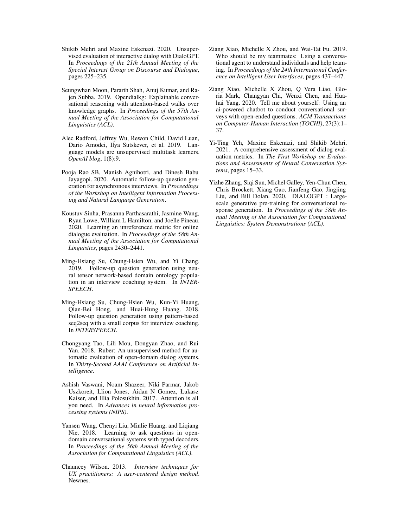- Shikib Mehri and Maxine Eskenazi. 2020. Unsupervised evaluation of interactive dialog with DialoGPT. In *Proceedings of the 21th Annual Meeting of the Special Interest Group on Discourse and Dialogue*, pages 225–235.
- Seungwhan Moon, Pararth Shah, Anuj Kumar, and Rajen Subba. 2019. Opendialkg: Explainable conversational reasoning with attention-based walks over knowledge graphs. In *Proceedings of the 57th Annual Meeting of the Association for Computational Linguistics (ACL)*.
- Alec Radford, Jeffrey Wu, Rewon Child, David Luan, Dario Amodei, Ilya Sutskever, et al. 2019. Language models are unsupervised multitask learners. *OpenAI blog*, 1(8):9.
- Pooja Rao SB, Manish Agnihotri, and Dinesh Babu Jayagopi. 2020. Automatic follow-up question generation for asynchronous interviews. In *Proceedings of the Workshop on Intelligent Information Processing and Natural Language Generation*.
- Koustuv Sinha, Prasanna Parthasarathi, Jasmine Wang, Ryan Lowe, William L Hamilton, and Joelle Pineau. 2020. Learning an unreferenced metric for online dialogue evaluation. In *Proceedings of the 58th Annual Meeting of the Association for Computational Linguistics*, pages 2430–2441.
- Ming-Hsiang Su, Chung-Hsien Wu, and Yi Chang. 2019. Follow-up question generation using neural tensor network-based domain ontology population in an interview coaching system. In *INTER-SPEECH*.
- Ming-Hsiang Su, Chung-Hsien Wu, Kun-Yi Huang, Qian-Bei Hong, and Huai-Hung Huang. 2018. Follow-up question generation using pattern-based seq2seq with a small corpus for interview coaching. In *INTERSPEECH*.
- Chongyang Tao, Lili Mou, Dongyan Zhao, and Rui Yan. 2018. Ruber: An unsupervised method for automatic evaluation of open-domain dialog systems. In *Thirty-Second AAAI Conference on Artificial Intelligence*.
- Ashish Vaswani, Noam Shazeer, Niki Parmar, Jakob Uszkoreit, Llion Jones, Aidan N Gomez, Łukasz Kaiser, and Illia Polosukhin. 2017. Attention is all you need. In *Advances in neural information processing systems (NIPS)*.
- Yansen Wang, Chenyi Liu, Minlie Huang, and Liqiang Nie. 2018. Learning to ask questions in opendomain conversational systems with typed decoders. In *Proceedings of the 56th Annual Meeting of the Association for Computational Linguistics (ACL)*.
- Chauncey Wilson. 2013. *Interview techniques for UX practitioners: A user-centered design method*. Newnes.
- Ziang Xiao, Michelle X Zhou, and Wai-Tat Fu. 2019. Who should be my teammates: Using a conversational agent to understand individuals and help teaming. In *Proceedings of the 24th International Conference on Intelligent User Interfaces*, pages 437–447.
- Ziang Xiao, Michelle X Zhou, Q Vera Liao, Gloria Mark, Changyan Chi, Wenxi Chen, and Huahai Yang. 2020. Tell me about yourself: Using an ai-powered chatbot to conduct conversational surveys with open-ended questions. *ACM Transactions on Computer-Human Interaction (TOCHI)*, 27(3):1– 37.
- Yi-Ting Yeh, Maxine Eskenazi, and Shikib Mehri. 2021. A comprehensive assessment of dialog evaluation metrics. In *The First Workshop on Evaluations and Assessments of Neural Conversation Systems*, pages 15–33.
- Yizhe Zhang, Siqi Sun, Michel Galley, Yen-Chun Chen, Chris Brockett, Xiang Gao, Jianfeng Gao, Jingjing Liu, and Bill Dolan. 2020. DIALOGPT : Largescale generative pre-training for conversational response generation. In *Proceedings of the 58th Annual Meeting of the Association for Computational Linguistics: System Demonstrations (ACL)*.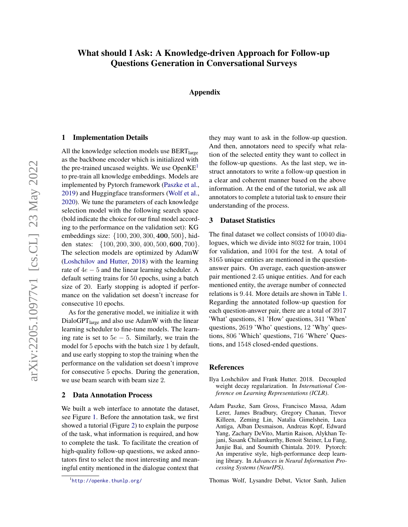# What should I Ask: A Knowledge-driven Approach for Follow-up Questions Generation in Conversational Surveys

Appendix

### 1 Implementation Details

All the knowledge selection models use  $BERT_{\text{large}}$ as the backbone encoder which is initialized with the pre-trained uncased weights. We use  $OpenKE<sup>1</sup>$ to pre-train all knowledge embeddings. Models are implemented by Pytorch framework (Paszke et al., 2019) and Huggingface transformers (Wolf et al., 2020). We tune the parameters of each knowledge selection model with the following search space (bold indicate the choice for our final model according to the performance on the validation set): KG embeddings size: {100, 200, 300, 400, 500}, hidden states: {100, 200, 300, 400, 500, 600, 700}. The selection models are optimized by AdamW (Loshchilov and Hutter, 2018) with the learning rate of  $4e - 5$  and the linear learning scheduler. A default setting trains for 50 epochs, using a batch size of 20. Early stopping is adopted if performance on the validation set doesn't increase for consecutive 10 epochs.

As for the generative model, we initialize it with DialoGPT<sub>large</sub> and also use AdamW with the linear learning scheduler to fine-tune models. The learning rate is set to  $5e - 5$ . Similarly, we train the model for 5 epochs with the batch size 1 by default, and use early stopping to stop the training when the performance on the validation set doesn't improve for consecutive 5 epochs. During the generation, we use beam search with beam size 2.

## 2 Data Annotation Process

We built a web interface to annotate the dataset, see Figure 1. Before the annotation task, we first showed a tutorial (Figure 2) to explain the purpose of the task, what information is required, and how to complete the task. To facilitate the creation of high-quality follow-up questions, we asked annotators first to select the most interesting and meaningful entity mentioned in the dialogue context that

they may want to ask in the follow-up question. And then, annotators need to specify what relation of the selected entity they want to collect in the follow-up questions. As the last step, we instruct annotators to write a follow-up question in a clear and coherent manner based on the above information. At the end of the tutorial, we ask all annotators to complete a tutorial task to ensure their understanding of the process.

### 3 Dataset Statistics

The final dataset we collect consists of 10040 dialogues, which we divide into 8032 for train, 1004 for validation, and 1004 for the test. A total of 8165 unique entities are mentioned in the questionanswer pairs. On average, each question-answer pair mentioned 2.45 unique entities. And for each mentioned entity, the average number of connected relations is 9.44. More details are shown in Table 1. Regarding the annotated follow-up question for each question-answer pair, there are a total of 3917 'What' questions, 81 'How' questions, 341 'When' questions, 2619 'Who' questions, 12 'Why' questions, 806 'Which' questions, 716 'Where' Questions, and 1548 closed-ended questions.

#### **References**

- Ilya Loshchilov and Frank Hutter. 2018. Decoupled weight decay regularization. In *International Conference on Learning Representations (ICLR)*.
- Adam Paszke, Sam Gross, Francisco Massa, Adam Lerer, James Bradbury, Gregory Chanan, Trevor Killeen, Zeming Lin, Natalia Gimelshein, Luca Antiga, Alban Desmaison, Andreas Kopf, Edward Yang, Zachary DeVito, Martin Raison, Alykhan Tejani, Sasank Chilamkurthy, Benoit Steiner, Lu Fang, Junjie Bai, and Soumith Chintala. 2019. Pytorch: An imperative style, high-performance deep learning library. In *Advances in Neural Information Processing Systems (NeurIPS)*.

Thomas Wolf, Lysandre Debut, Victor Sanh, Julien

<sup>1</sup> http://openke.thunlp.org/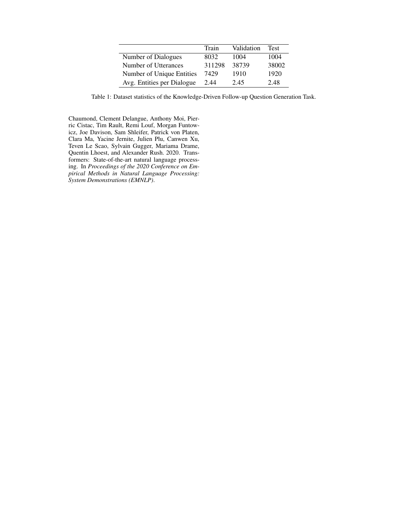|                            | Train  | Validation | Test  |
|----------------------------|--------|------------|-------|
| Number of Dialogues        | 8032   | 1004       | 1004  |
| Number of Utterances       | 311298 | 38739      | 38002 |
| Number of Unique Entities  | 7429   | 1910       | 1920  |
| Avg. Entities per Dialogue | 2.44   | 2.45       | 2.48  |

Table 1: Dataset statistics of the Knowledge-Driven Follow-up Question Generation Task.

Chaumond, Clement Delangue, Anthony Moi, Pierric Cistac, Tim Rault, Remi Louf, Morgan Funtowicz, Joe Davison, Sam Shleifer, Patrick von Platen, Clara Ma, Yacine Jernite, Julien Plu, Canwen Xu, Teven Le Scao, Sylvain Gugger, Mariama Drame, Quentin Lhoest, and Alexander Rush. 2020. Transformers: State-of-the-art natural language processing. In *Proceedings of the 2020 Conference on Empirical Methods in Natural Language Processing: System Demonstrations (EMNLP)*.